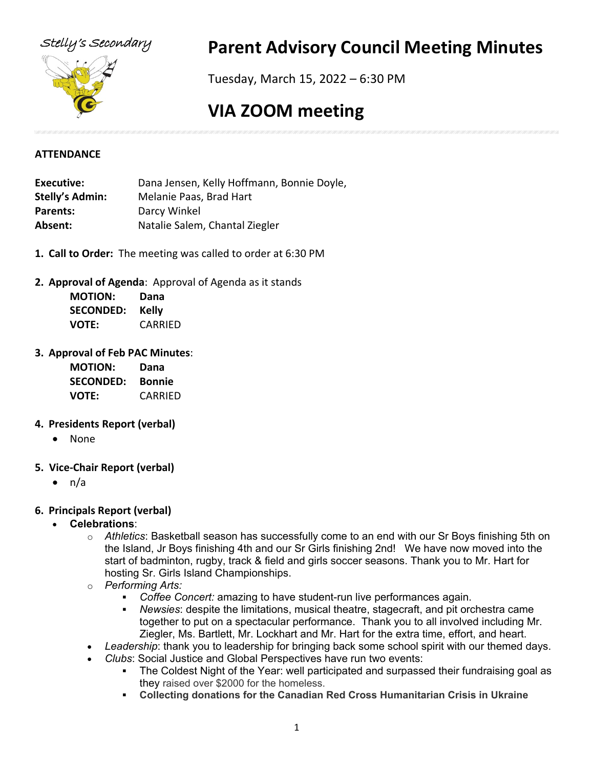

# Stelly's Secondary **Parent Advisory Council Meeting Minutes**

Tuesday, March 15, 2022 – 6:30 PM

# **VIA ZOOM meeting**

## **ATTENDANCE**

**Executive:** Dana Jensen, Kelly Hoffmann, Bonnie Doyle, **Stelly's Admin:** Melanie Paas, Brad Hart Parents: Darcy Winkel **Absent:** Natalie Salem, Chantal Ziegler

- **1. Call to Order:** The meeting was called to order at 6:30 PM
- **2. Approval of Agenda**: Approval of Agenda as it stands

| <b>MOTION:</b>   | Dana    |
|------------------|---------|
| <b>SECONDED:</b> | Kelly   |
| <b>VOTE:</b>     | CARRIED |

## **3. Approval of Feb PAC Minutes**:

| <b>MOTION:</b>   | Dana          |
|------------------|---------------|
| <b>SECONDED:</b> | <b>Bonnie</b> |
| <b>VOTE:</b>     | CARRIED       |

## **4. Presidents Report (verbal)**

- None
- **5. Vice-Chair Report (verbal)**
	- n/a

# **6. Principals Report (verbal)**

- **Celebrations**:
	- o *Athletics*: Basketball season has successfully come to an end with our Sr Boys finishing 5th on the Island, Jr Boys finishing 4th and our Sr Girls finishing 2nd! We have now moved into the start of badminton, rugby, track & field and girls soccer seasons. Thank you to Mr. Hart for hosting Sr. Girls Island Championships.
	- o *Performing Arts:*
		- *Coffee Concert:* amazing to have student-run live performances again.
		- *Newsies*: despite the limitations, musical theatre, stagecraft, and pit orchestra came together to put on a spectacular performance. Thank you to all involved including Mr. Ziegler, Ms. Bartlett, Mr. Lockhart and Mr. Hart for the extra time, effort, and heart.
	- *Leadership*: thank you to leadership for bringing back some school spirit with our themed days.
	- *Clubs*: Social Justice and Global Perspectives have run two events:
		- The Coldest Night of the Year: well participated and surpassed their fundraising goal as they raised over \$2000 for the homeless.
		- **Collecting donations for the Canadian Red Cross Humanitarian Crisis in Ukraine**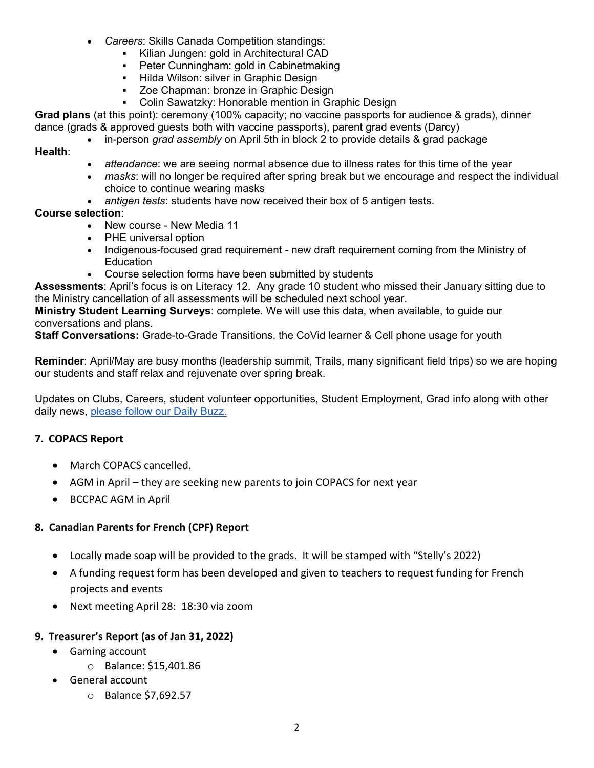- *Careers*: Skills Canada Competition standings:
	- Kilian Jungen: gold in Architectural CAD<br>■ Peter Cunningham: gold in Cabinetmakir
	- Peter Cunningham: gold in Cabinetmaking
	- **Hilda Wilson: silver in Graphic Design**
	- Zoe Chapman: bronze in Graphic Design
	- Colin Sawatzky: Honorable mention in Graphic Design

**Grad plans** (at this point): ceremony (100% capacity; no vaccine passports for audience & grads), dinner dance (grads & approved guests both with vaccine passports), parent grad events (Darcy)

• in-person *grad assembly* on April 5th in block 2 to provide details & grad package

**Health**:

- *attendance*: we are seeing normal absence due to illness rates for this time of the year
- *masks*: will no longer be required after spring break but we encourage and respect the individual choice to continue wearing masks
- *antigen tests*: students have now received their box of 5 antigen tests.

## **Course selection**:

- New course New Media 11
- PHE universal option
- Indigenous-focused grad requirement new draft requirement coming from the Ministry of Education
- Course selection forms have been submitted by students

**Assessments**: April's focus is on Literacy 12. Any grade 10 student who missed their January sitting due to the Ministry cancellation of all assessments will be scheduled next school year.

**Ministry Student Learning Surveys**: complete. We will use this data, when available, to guide our conversations and plans.

**Staff Conversations:** Grade-to-Grade Transitions, the CoVid learner & Cell phone usage for youth

**Reminder**: April/May are busy months (leadership summit, Trails, many significant field trips) so we are hoping our students and staff relax and rejuvenate over spring break.

Updates on Clubs, Careers, student volunteer opportunities, Student Employment, Grad info along with other daily news, [please follow our Daily Buzz.](https://stellys.sd63.bc.ca/mod/forum/view.php?id=10462)

# **7. COPACS Report**

- March COPACS cancelled.
- AGM in April they are seeking new parents to join COPACS for next year
- BCCPAC AGM in April

## **8. Canadian Parents for French (CPF) Report**

- Locally made soap will be provided to the grads. It will be stamped with "Stelly's 2022)
- A funding request form has been developed and given to teachers to request funding for French projects and events
- Next meeting April 28: 18:30 via zoom

# **9. Treasurer's Report (as of Jan 31, 2022)**

- Gaming account
	- o Balance: \$15,401.86
- General account
	- o Balance \$7,692.57